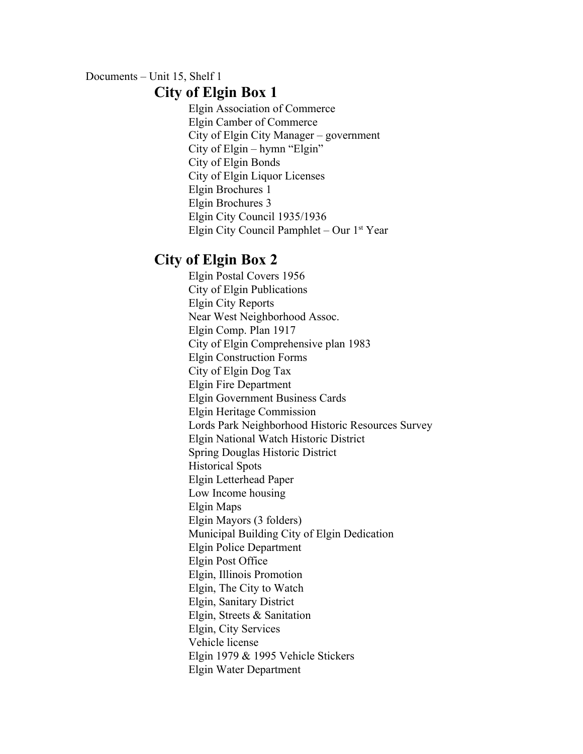## Documents – Unit 15, Shelf 1 **City of Elgin Box 1**

Elgin Association of Commerce Elgin Camber of Commerce City of Elgin City Manager – government City of Elgin – hymn "Elgin" City of Elgin Bonds City of Elgin Liquor Licenses Elgin Brochures 1 Elgin Brochures 3 Elgin City Council 1935/1936 Elgin City Council Pamphlet - Our 1<sup>st</sup> Year

## **City of Elgin Box 2**

Elgin Postal Covers 1956 City of Elgin Publications Elgin City Reports Near West Neighborhood Assoc. Elgin Comp. Plan 1917 City of Elgin Comprehensive plan 1983 Elgin Construction Forms City of Elgin Dog Tax Elgin Fire Department Elgin Government Business Cards Elgin Heritage Commission Lords Park Neighborhood Historic Resources Survey Elgin National Watch Historic District Spring Douglas Historic District Historical Spots Elgin Letterhead Paper Low Income housing Elgin Maps Elgin Mayors (3 folders) Municipal Building City of Elgin Dedication Elgin Police Department Elgin Post Office Elgin, Illinois Promotion Elgin, The City to Watch Elgin, Sanitary District Elgin, Streets & Sanitation Elgin, City Services Vehicle license Elgin 1979 & 1995 Vehicle Stickers Elgin Water Department